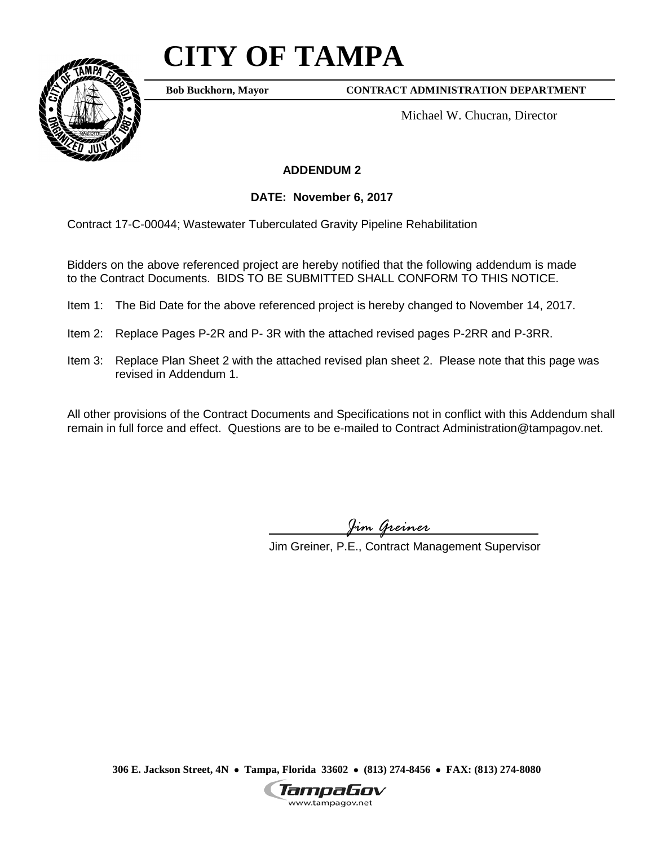# **CITY OF TAMPA**



**Bob Buckhorn, Mayor**

**CONTRACT ADMINISTRATION DEPARTMENT**

Michael W. Chucran, Director

### **ADDENDUM 2**

**DATE: November 6, 2017**

Contract 17-C-00044; Wastewater Tuberculated Gravity Pipeline Rehabilitation

Bidders on the above referenced project are hereby notified that the following addendum is made to the Contract Documents. BIDS TO BE SUBMITTED SHALL CONFORM TO THIS NOTICE.

- Item 1: The Bid Date for the above referenced project is hereby changed to November 14, 2017.
- Item 2: Replace Pages P-2R and P- 3R with the attached revised pages P-2RR and P-3RR.
- Item 3: Replace Plan Sheet 2 with the attached revised plan sheet 2. Please note that this page was revised in Addendum 1.

All other provisions of the Contract Documents and Specifications not in conflict with this Addendum shall remain in full force and effect. Questions are to be e-mailed to Contract Administration@tampagov.net.

*Jim Greiner*

Jim Greiner, P.E., Contract Management Supervisor

**306 E. Jackson Street, 4N** • **Tampa, Florida 33602** • **(813) 274-8456** • **FAX: (813) 274-8080**

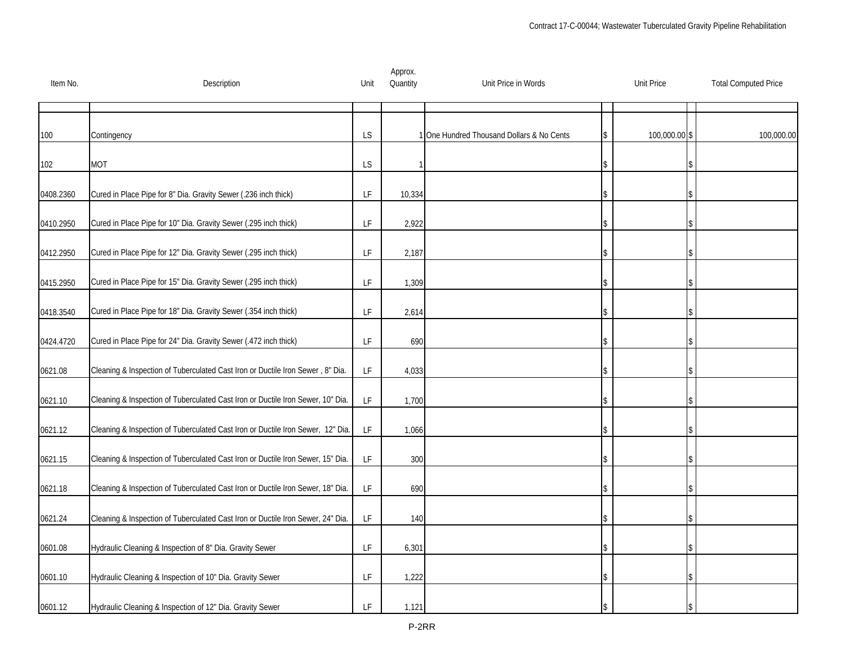| Item No.  | Description                                                                     | Unit                                                                                        | Approx.<br>Quantity | Unit Price in Words                     | <b>Unit Price</b> |   | <b>Total Computed Price</b> |
|-----------|---------------------------------------------------------------------------------|---------------------------------------------------------------------------------------------|---------------------|-----------------------------------------|-------------------|---|-----------------------------|
|           |                                                                                 |                                                                                             |                     |                                         |                   |   |                             |
| 100       | Contingency                                                                     | <b>LS</b>                                                                                   |                     | One Hundred Thousand Dollars & No Cents | 100,000.00        | S | 100,000.00                  |
| 102       | <b>MOT</b>                                                                      | <b>LS</b>                                                                                   |                     |                                         |                   |   |                             |
| 0408.2360 | Cured in Place Pipe for 8" Dia. Gravity Sewer (.236 inch thick)                 | LF                                                                                          | 10,334              |                                         |                   |   |                             |
| 0410.2950 | Cured in Place Pipe for 10" Dia. Gravity Sewer (.295 inch thick)                | LF                                                                                          | 2,922               |                                         |                   |   |                             |
| 0412.2950 | Cured in Place Pipe for 12" Dia. Gravity Sewer (.295 inch thick)                | LF                                                                                          | 2,187               |                                         |                   |   |                             |
| 0415.2950 | Cured in Place Pipe for 15" Dia. Gravity Sewer (.295 inch thick)                | LF                                                                                          | 1,309               |                                         |                   |   |                             |
| 0418.3540 | Cured in Place Pipe for 18" Dia. Gravity Sewer (.354 inch thick)                | $\mathsf{LF}% _{0}\left( \mathcal{N}\right) \equiv\mathsf{LF}_{0}\left( \mathcal{N}\right)$ | 2,614               |                                         |                   |   |                             |
| 0424.4720 | Cured in Place Pipe for 24" Dia. Gravity Sewer (.472 inch thick)                | $\mathsf{LF}% _{0}\left( \mathcal{N}\right) \equiv\mathsf{LF}_{0}\left( \mathcal{N}\right)$ | 690                 |                                         |                   |   |                             |
| 0621.08   | Cleaning & Inspection of Tuberculated Cast Iron or Ductile Iron Sewer, 8" Dia.  | LF                                                                                          | 4,033               |                                         |                   |   |                             |
| 0621.10   | Cleaning & Inspection of Tuberculated Cast Iron or Ductile Iron Sewer, 10" Dia. | LF                                                                                          | 1,700               |                                         |                   |   |                             |
| 0621.12   | Cleaning & Inspection of Tuberculated Cast Iron or Ductile Iron Sewer, 12" Dia. | LF                                                                                          | 1,066               |                                         |                   |   |                             |
| 0621.15   | Cleaning & Inspection of Tuberculated Cast Iron or Ductile Iron Sewer, 15" Dia. | LF                                                                                          | 300                 |                                         |                   |   |                             |
| 0621.18   | Cleaning & Inspection of Tuberculated Cast Iron or Ductile Iron Sewer, 18" Dia. | LF                                                                                          | 690                 |                                         |                   |   |                             |
| 0621.24   | Cleaning & Inspection of Tuberculated Cast Iron or Ductile Iron Sewer, 24" Dia. | $\mathsf{LF}% _{0}\left( \mathcal{N}\right) \equiv\mathsf{LF}_{0}\left( \mathcal{N}\right)$ | 140                 |                                         |                   |   |                             |
| 0601.08   | Hydraulic Cleaning & Inspection of 8" Dia. Gravity Sewer                        | LF.                                                                                         | 6,301               |                                         |                   |   |                             |
| 0601.10   | Hydraulic Cleaning & Inspection of 10" Dia. Gravity Sewer                       | $\mathsf{LF}% _{0}\left( \mathcal{N}\right) \equiv\mathsf{LF}_{0}\left( \mathcal{N}\right)$ | 1,222               |                                         |                   |   |                             |
| 0601.12   | Hydraulic Cleaning & Inspection of 12" Dia. Gravity Sewer                       | LF                                                                                          | 1,121               |                                         |                   |   |                             |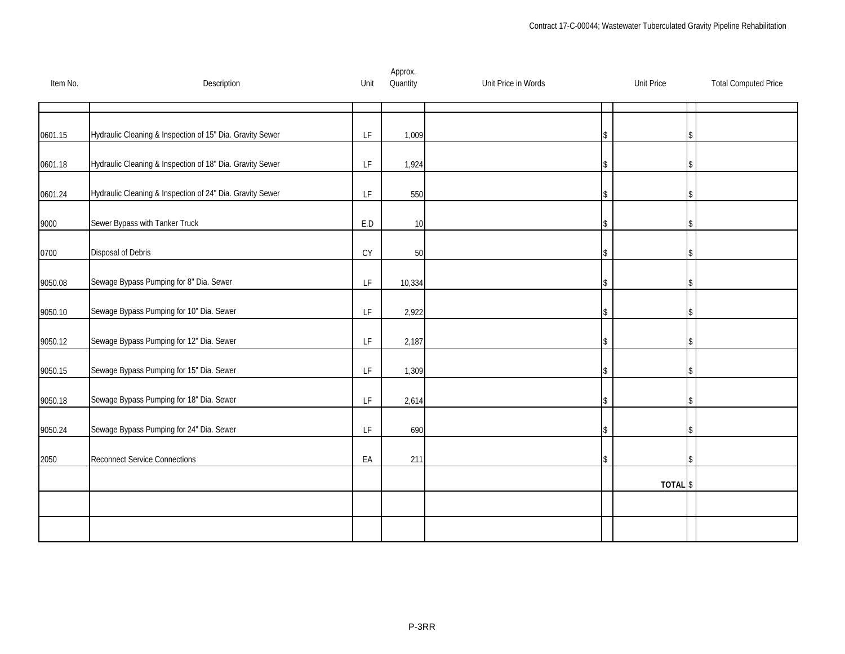| Item No. | Description                                               | Unit | Approx.<br>Quantity | Unit Price in Words | <b>Unit Price</b> | <b>Total Computed Price</b> |
|----------|-----------------------------------------------------------|------|---------------------|---------------------|-------------------|-----------------------------|
|          |                                                           |      |                     |                     |                   |                             |
| 0601.15  | Hydraulic Cleaning & Inspection of 15" Dia. Gravity Sewer | LF   | 1,009               |                     |                   |                             |
| 0601.18  | Hydraulic Cleaning & Inspection of 18" Dia. Gravity Sewer | LF   | 1,924               |                     |                   |                             |
| 0601.24  | Hydraulic Cleaning & Inspection of 24" Dia. Gravity Sewer | LF   | 550                 |                     |                   |                             |
| 9000     | Sewer Bypass with Tanker Truck                            | E.D  | 10                  |                     |                   |                             |
| 0700     | Disposal of Debris                                        | CY   | 50                  |                     |                   |                             |
| 9050.08  | Sewage Bypass Pumping for 8" Dia. Sewer                   | LF   | 10,334              |                     |                   |                             |
| 9050.10  | Sewage Bypass Pumping for 10" Dia. Sewer                  | LF   | 2,922               |                     |                   |                             |
| 9050.12  | Sewage Bypass Pumping for 12" Dia. Sewer                  | LF   | 2,187               |                     |                   |                             |
| 9050.15  | Sewage Bypass Pumping for 15" Dia. Sewer                  | LF.  | 1,309               |                     |                   |                             |
| 9050.18  | Sewage Bypass Pumping for 18" Dia. Sewer                  | LF.  | 2,614               |                     |                   |                             |
| 9050.24  | Sewage Bypass Pumping for 24" Dia. Sewer                  | LF   | 690                 |                     |                   |                             |
| 2050     | <b>Reconnect Service Connections</b>                      | EA   | 211                 |                     |                   |                             |
|          |                                                           |      |                     |                     | <b>TOTAL</b>      | \$                          |
|          |                                                           |      |                     |                     |                   |                             |
|          |                                                           |      |                     |                     |                   |                             |